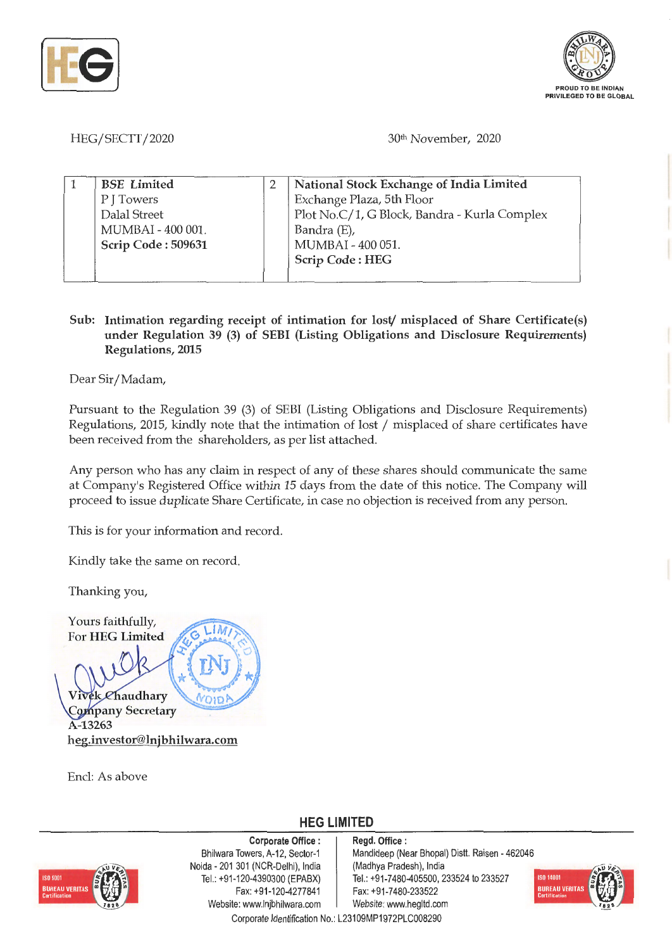



HEG/SECTT/2020

30th November, 2020

| <b>BSE</b> Limited | National Stock Exchange of India Limited     |
|--------------------|----------------------------------------------|
| P J Towers         | Exchange Plaza, 5th Floor                    |
| Dalal Street       | Plot No.C/1, G Block, Bandra - Kurla Complex |
| MUMBAI - 400 001.  | Bandra (E),                                  |
| Scrip Code: 509631 | MUMBAI - 400 051.                            |
|                    | <b>Scrip Code: HEG</b>                       |
|                    |                                              |

## **Sub: Intimation regarding receipt of intimation for lost/ misplaced of Share Certificate(s) under Regulation 39 (3) of SEBI (Listing Obligations and Disclosure Requirements) Regulations, 2015**

Dear Sir/ Madam,

Pursuant to the Regulation 39 (3) of SEBI (Listing Obligations and Disclosure Requirements) Regulations, 2015, kindly note that the intimation of lost/ misplaced of share certificates have been received from the shareholders, as per list attached.

Any person who has any claim in respect of any of these shares should communicate the same at Company's Registered Office within 15 days from the date of this notice. The Company will proceed to issue duplicate Share Certificate, in case no objection is received from any person.

This is for your information and record.

Kindly take the same on record.

Thanking you,

Yours faithfully, LIM For **HEG Limited**  ek Chaudhary Company Secretary **A-13263 heg.investor@lnjbhilwara.com** 

Encl: As above

**HEG LIMITED** 



**Corporate Office** : Bhilwara Towers, A-12, Sector-1 Noida - 201 301 (NCR-Delhi), India Tel.: +91 -120-4390300 (EPABX) Fax: +91-120-4277841 Website: www.lnjbhilwara.com | Website: www.hegltd.com

**Regd. Office** : Mandideep (Near Bhopal) Distt. Raisen - 462046 (Madhya Pradesh), India Tel.: +91-7480-405500, 233524 to 233527 Fax: +91-7480-233522



Corporate Identification No.: L23109MP1972PLC008290